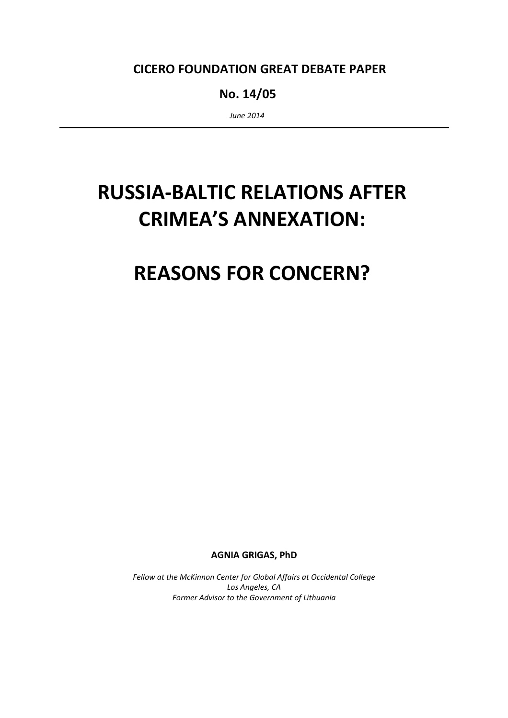## CICERO FOUNDATION GREAT DEBATE PAPER

No. 14/05

June 2014

# RUSSIA-BALTIC RELATIONS AFTER CRIMEA'S ANNEXATION:

## REASONS FOR CONCERN?

AGNIA GRIGAS, PhD

Fellow at the McKinnon Center for Global Affairs at Occidental College Los Angeles, CA Former Advisor to the Government of Lithuania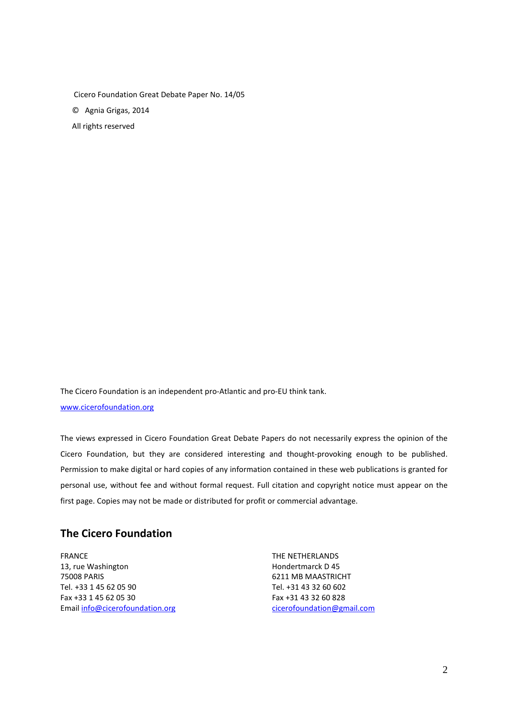Cicero Foundation Great Debate Paper No. 14/05 © Agnia Grigas, 2014

All rights reserved

The Cicero Foundation is an independent pro-Atlantic and pro-EU think tank. www.cicerofoundation.org

The views expressed in Cicero Foundation Great Debate Papers do not necessarily express the opinion of the Cicero Foundation, but they are considered interesting and thought-provoking enough to be published. Permission to make digital or hard copies of any information contained in these web publications is granted for personal use, without fee and without formal request. Full citation and copyright notice must appear on the first page. Copies may not be made or distributed for profit or commercial advantage.

## The Cicero Foundation

FRANCE THE NETHERLANDS 13, rue Washington **Hondertmarck D** 45 75008 PARIS 6211 MB MAASTRICHT Tel. +33 1 45 62 05 90 Tel. +31 43 32 60 602 Fax +33 1 45 62 05 30 Fax +31 43 32 60 828 Email info@cicerofoundation.org cicerofoundation@gmail.com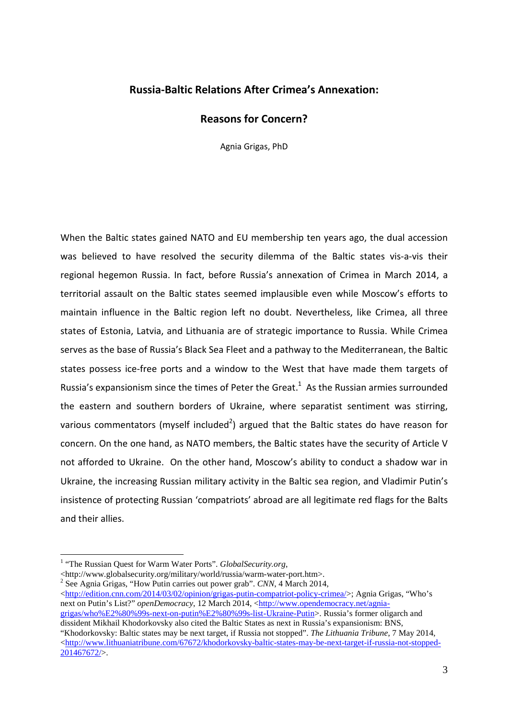## Russia-Baltic Relations After Crimea's Annexation:

### Reasons for Concern?

Agnia Grigas, PhD

When the Baltic states gained NATO and EU membership ten years ago, the dual accession was believed to have resolved the security dilemma of the Baltic states vis-a-vis their regional hegemon Russia. In fact, before Russia's annexation of Crimea in March 2014, a territorial assault on the Baltic states seemed implausible even while Moscow's efforts to maintain influence in the Baltic region left no doubt. Nevertheless, like Crimea, all three states of Estonia, Latvia, and Lithuania are of strategic importance to Russia. While Crimea serves as the base of Russia's Black Sea Fleet and a pathway to the Mediterranean, the Baltic states possess ice-free ports and a window to the West that have made them targets of Russia's expansionism since the times of Peter the Great.<sup>1</sup> As the Russian armies surrounded the eastern and southern borders of Ukraine, where separatist sentiment was stirring, various commentators (myself included<sup>2</sup>) argued that the Baltic states do have reason for concern. On the one hand, as NATO members, the Baltic states have the security of Article V not afforded to Ukraine. On the other hand, Moscow's ability to conduct a shadow war in Ukraine, the increasing Russian military activity in the Baltic sea region, and Vladimir Putin's insistence of protecting Russian 'compatriots' abroad are all legitimate red flags for the Balts and their allies.

 $\overline{a}$ 

<http://www.globalsecurity.org/military/world/russia/warm-water-port.htm>.

2 See Agnia Grigas, "How Putin carries out power grab". *CNN*, 4 March 2014,  $\langle$ http://edition.cnn.com/2014/03/02/opinion/grigas-putin-compatriot-policy-crimea/>; Agnia Grigas, "Who's next on Putin's List?" *openDemocracy*, 12 March 2014, <http://www.opendemocracy.net/agniagrigas/who%E2%80%99s-next-on-putin%E2%80%99s-list-Ukraine-Putin>. Russia's former oligarch and dissident Mikhail Khodorkovsky also cited the Baltic States as next in Russia's expansionism: BNS,

"Khodorkovsky: Baltic states may be next target, if Russia not stopped". *The Lithuania Tribune*, 7 May 2014,  $\langle$ http://www.lithuaniatribune.com/67672/khodorkovsky-baltic-states-may-be-next-target-if-russia-not-stopped-201467672/>.

<sup>&</sup>lt;sup>1</sup> "The Russian Quest for Warm Water Ports". *GlobalSecurity.org*,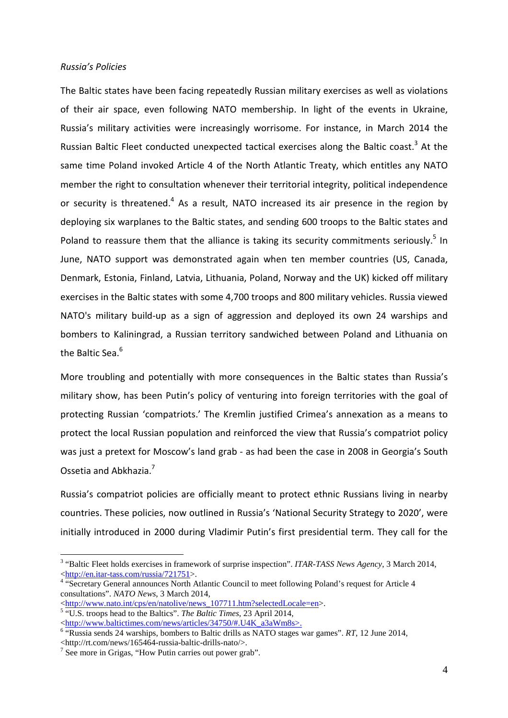#### Russia's Policies

The Baltic states have been facing repeatedly Russian military exercises as well as violations of their air space, even following NATO membership. In light of the events in Ukraine, Russia's military activities were increasingly worrisome. For instance, in March 2014 the Russian Baltic Fleet conducted unexpected tactical exercises along the Baltic coast.<sup>3</sup> At the same time Poland invoked Article 4 of the North Atlantic Treaty, which entitles any NATO member the right to consultation whenever their territorial integrity, political independence or security is threatened. $4$  As a result, NATO increased its air presence in the region by deploying six warplanes to the Baltic states, and sending 600 troops to the Baltic states and Poland to reassure them that the alliance is taking its security commitments seriously.<sup>5</sup> In June, NATO support was demonstrated again when ten member countries (US, Canada, Denmark, Estonia, Finland, Latvia, Lithuania, Poland, Norway and the UK) kicked off military exercises in the Baltic states with some 4,700 troops and 800 military vehicles. Russia viewed NATO's military build-up as a sign of aggression and deployed its own 24 warships and bombers to Kaliningrad, a Russian territory sandwiched between Poland and Lithuania on the Baltic Sea.<sup>6</sup>

More troubling and potentially with more consequences in the Baltic states than Russia's military show, has been Putin's policy of venturing into foreign territories with the goal of protecting Russian 'compatriots.' The Kremlin justified Crimea's annexation as a means to protect the local Russian population and reinforced the view that Russia's compatriot policy was just a pretext for Moscow's land grab - as had been the case in 2008 in Georgia's South Ossetia and Abkhazia.<sup>7</sup>

Russia's compatriot policies are officially meant to protect ethnic Russians living in nearby countries. These policies, now outlined in Russia's 'National Security Strategy to 2020', were initially introduced in 2000 during Vladimir Putin's first presidential term. They call for the

5 "U.S. troops head to the Baltics". *The Baltic Times*, 23 April 2014,

<sup>&</sup>lt;sup>3</sup> "Baltic Fleet holds exercises in framework of surprise inspection". *ITAR-TASS News Agency*, 3 March 2014, <http://en.itar-tass.com/russia/721751>.

<sup>&</sup>lt;sup>4</sup> "Secretary General announces North Atlantic Council to meet following Poland's request for Article 4 consultations". *NATO News*, 3 March 2014,

<sup>&</sup>lt;http://www.nato.int/cps/en/natolive/news\_107711.htm?selectedLocale=en>.

<sup>&</sup>lt;http://www.baltictimes.com/news/articles/34750/#.U4K\_a3aWm8s>.

<sup>&</sup>lt;sup>6</sup> "Russia sends 24 warships, bombers to Baltic drills as NATO stages war games". *RT*, 12 June 2014, <http://rt.com/news/165464-russia-baltic-drills-nato/>.

<sup>&</sup>lt;sup>7</sup> See more in Grigas, "How Putin carries out power grab".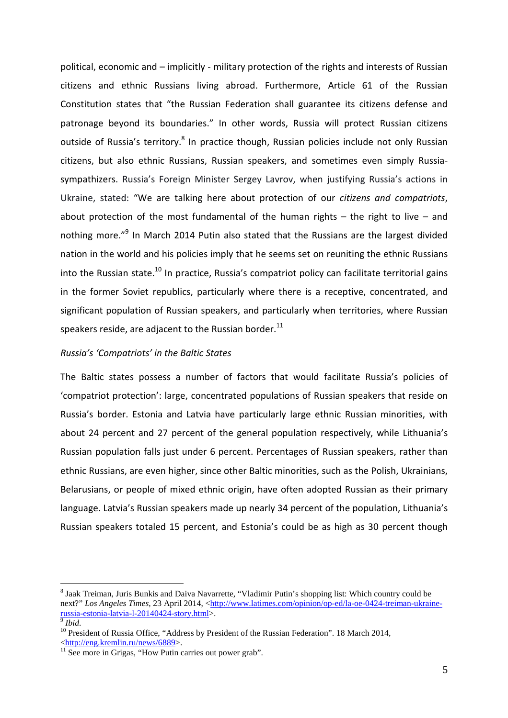political, economic and – implicitly - military protection of the rights and interests of Russian citizens and ethnic Russians living abroad. Furthermore, Article 61 of the Russian Constitution states that "the Russian Federation shall guarantee its citizens defense and patronage beyond its boundaries." In other words, Russia will protect Russian citizens outside of Russia's territory.<sup>8</sup> In practice though, Russian policies include not only Russian citizens, but also ethnic Russians, Russian speakers, and sometimes even simply Russiasympathizers. Russia's Foreign Minister Sergey Lavrov, when justifying Russia's actions in Ukraine, stated: "We are talking here about protection of our citizens and compatriots, about protection of the most fundamental of the human rights  $-$  the right to live  $-$  and nothing more."<sup>9</sup> In March 2014 Putin also stated that the Russians are the largest divided nation in the world and his policies imply that he seems set on reuniting the ethnic Russians into the Russian state.<sup>10</sup> In practice, Russia's compatriot policy can facilitate territorial gains in the former Soviet republics, particularly where there is a receptive, concentrated, and significant population of Russian speakers, and particularly when territories, where Russian speakers reside, are adjacent to the Russian border.<sup>11</sup>

#### Russia's 'Compatriots' in the Baltic States

The Baltic states possess a number of factors that would facilitate Russia's policies of 'compatriot protection': large, concentrated populations of Russian speakers that reside on Russia's border. Estonia and Latvia have particularly large ethnic Russian minorities, with about 24 percent and 27 percent of the general population respectively, while Lithuania's Russian population falls just under 6 percent. Percentages of Russian speakers, rather than ethnic Russians, are even higher, since other Baltic minorities, such as the Polish, Ukrainians, Belarusians, or people of mixed ethnic origin, have often adopted Russian as their primary language. Latvia's Russian speakers made up nearly 34 percent of the population, Lithuania's Russian speakers totaled 15 percent, and Estonia's could be as high as 30 percent though

<sup>&</sup>lt;sup>8</sup> Jaak Treiman, Juris Bunkis and Daiva Navarrette, "Vladimir Putin's shopping list: Which country could be next?" *Los Angeles Times*, 23 April 2014, <http://www.latimes.com/opinion/op-ed/la-oe-0424-treiman-ukrainerussia-estonia-latvia-l-20140424-story.html>.<br><sup>9</sup> Ibid

*Ibid*.

<sup>&</sup>lt;sup>10</sup> President of Russia Office, "Address by President of the Russian Federation". 18 March 2014, <http://eng.kremlin.ru/news/6889>.

 $11$  See more in Grigas, "How Putin carries out power grab".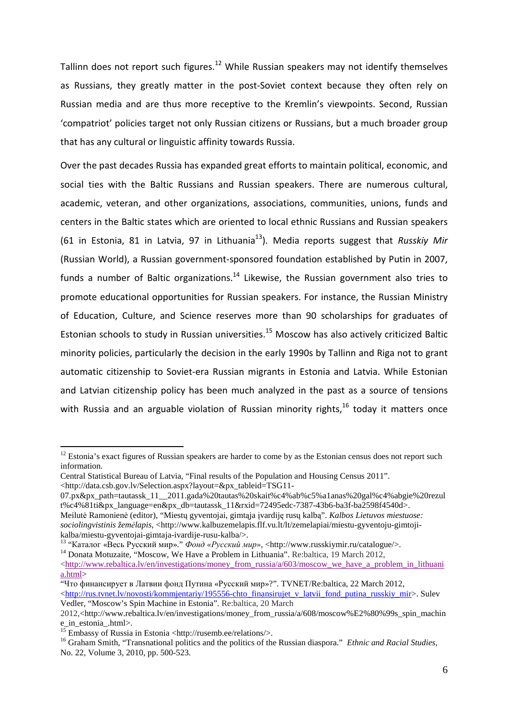Tallinn does not report such figures.<sup>12</sup> While Russian speakers may not identify themselves as Russians, they greatly matter in the post-Soviet context because they often rely on Russian media and are thus more receptive to the Kremlin's viewpoints. Second, Russian 'compatriot' policies target not only Russian citizens or Russians, but a much broader group that has any cultural or linguistic affinity towards Russia.

Over the past decades Russia has expanded great efforts to maintain political, economic, and social ties with the Baltic Russians and Russian speakers. There are numerous cultural, academic, veteran, and other organizations, associations, communities, unions, funds and centers in the Baltic states which are oriented to local ethnic Russians and Russian speakers (61 in Estonia, 81 in Latvia, 97 in Lithuania<sup>13</sup>). Media reports suggest that Russkiy Mir (Russian World), a Russian government-sponsored foundation established by Putin in 2007, funds a number of Baltic organizations.<sup>14</sup> Likewise, the Russian government also tries to promote educational opportunities for Russian speakers. For instance, the Russian Ministry of Education, Culture, and Science reserves more than 90 scholarships for graduates of Estonian schools to study in Russian universities.<sup>15</sup> Moscow has also actively criticized Baltic minority policies, particularly the decision in the early 1990s by Tallinn and Riga not to grant automatic citizenship to Soviet-era Russian migrants in Estonia and Latvia. While Estonian and Latvian citizenship policy has been much analyzed in the past as a source of tensions with Russia and an arguable violation of Russian minority rights,  $16$  today it matters once

 $\overline{a}$ 

<sup>14</sup> Donata Motuzaite, "Moscow, We Have a Problem in Lithuania". Re:baltica, 19 March 2012,

 $12$  Estonia's exact figures of Russian speakers are harder to come by as the Estonian census does not report such information.

Central Statistical Bureau of Latvia, "Final results of the Population and Housing Census 2011".

<sup>&</sup>lt;http://data.csb.gov.lv/Selection.aspx?layout=&px\_tableid=TSG11-

<sup>07.</sup>px&px\_path=tautassk\_11\_\_2011.gada%20tautas%20skait%c4%ab%c5%a1anas%20gal%c4%abgie%20rezul t%c4%81ti&px\_language=en&px\_db=tautassk\_11&rxid=72495edc-7387-43b6-ba3f-ba2598f4540d>. Meilutė Ramonienė (editor), "Miestų gyventojai, gimtąja įvardiję rusų kalbą". *Kalbos Lietuvos miestuose*:

*sociolingvistinis žem*÷*lapis*, <http://www.kalbuzemelapis.flf.vu.lt/lt/zemelapiai/miestu-gyventoju-gimtojikalba/miestu-gyventojai-gimtaja-ivardije-rusu-kalba/>.

<sup>13</sup> "Каталог «Весь Русский мир»." Фонд *«*Русский мир*»*, <http://www.russkiymir.ru/catalogue/>.

 $\langle \frac{\text{http://www.rebaltica.lv/en/investigations/money}}{\text{from russia/a/603/moscow}}$  we have a problem in lithuani a.html>

<sup>&</sup>quot;Что финансирует в Латвии фонд Путина «Русский мир»?". TVNET/Re:baltica, 22 March 2012,  $\text{thtn:}/\text{rus.tvnet.}$ lv/novosti/kommjentariy/195556-chto\_finansirujet\_v\_latvii\_fond\_putina\_russkiy\_mir>. Sulev Vedler, "Moscow's Spin Machine in Estonia". Re:baltica, 20 March

<sup>2012,&</sup>lt;http://www.rebaltica.lv/en/investigations/money\_from\_russia/a/608/moscow%E2%80%99s\_spin\_machin e\_in\_estonia\_.html>.

<sup>&</sup>lt;sup>15</sup> Embassy of Russia in Estonia <http://rusemb.ee/relations/>.

<sup>16</sup> Graham Smith, "Transnational politics and the politics of the Russian diaspora." *Ethnic and Racial Studies*, No. 22, Volume 3, 2010, pp. 500-523.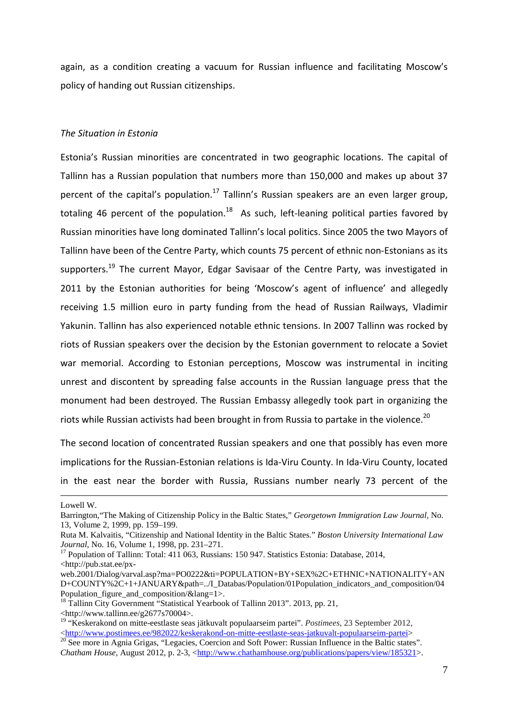again, as a condition creating a vacuum for Russian influence and facilitating Moscow's policy of handing out Russian citizenships.

#### The Situation in Estonia

Estonia's Russian minorities are concentrated in two geographic locations. The capital of Tallinn has a Russian population that numbers more than 150,000 and makes up about 37 percent of the capital's population.<sup>17</sup> Tallinn's Russian speakers are an even larger group, totaling 46 percent of the population.<sup>18</sup> As such, left-leaning political parties favored by Russian minorities have long dominated Tallinn's local politics. Since 2005 the two Mayors of Tallinn have been of the Centre Party, which counts 75 percent of ethnic non-Estonians as its supporters.<sup>19</sup> The current Mayor, Edgar Savisaar of the Centre Party, was investigated in 2011 by the Estonian authorities for being 'Moscow's agent of influence' and allegedly receiving 1.5 million euro in party funding from the head of Russian Railways, Vladimir Yakunin. Tallinn has also experienced notable ethnic tensions. In 2007 Tallinn was rocked by riots of Russian speakers over the decision by the Estonian government to relocate a Soviet war memorial. According to Estonian perceptions, Moscow was instrumental in inciting unrest and discontent by spreading false accounts in the Russian language press that the monument had been destroyed. The Russian Embassy allegedly took part in organizing the riots while Russian activists had been brought in from Russia to partake in the violence.<sup>20</sup>

The second location of concentrated Russian speakers and one that possibly has even more implications for the Russian-Estonian relations is Ida-Viru County. In Ida-Viru County, located in the east near the border with Russia, Russians number nearly 73 percent of the

<u>.</u>

Lowell W.

Barrington,"The Making of Citizenship Policy in the Baltic States," *Georgetown Immigration Law Journal,* No. 13, Volume 2, 1999, pp. 159–199.

Ruta M. Kalvaitis, "Citizenship and National Identity in the Baltic States." *Boston University International Law Journal*, No. 16, Volume 1, 1998, pp. 231–271.

<sup>&</sup>lt;sup>17</sup> Population of Tallinn: Total: 411 063, Russians: 150 947. Statistics Estonia: Database, 2014, <http://pub.stat.ee/px-

web.2001/Dialog/varval.asp?ma=PO0222&ti=POPULATION+BY+SEX%2C+ETHNIC+NATIONALITY+AN D+COUNTY%2C+1+JANUARY&path=../I\_Databas/Population/01Population\_indicators\_and\_composition/04 Population figure and composition/ $\&$ lang=1>.

<sup>&</sup>lt;sup>18</sup> Tallinn City Government "Statistical Yearbook of Tallinn 2013". 2013, pp. 21, <http://www.tallinn.ee/g2677s70004>.

<sup>19</sup> "Keskerakond on mitte-eestlaste seas jätkuvalt populaarseim partei". *Postimees*, 23 September 2012, <http://www.postimees.ee/982022/keskerakond-on-mitte-eestlaste-seas-jatkuvalt-populaarseim-partei>

<sup>&</sup>lt;sup>20</sup> See more in Agnia Grigas, "Legacies, Coercion and Soft Power: Russian Influence in the Baltic states". *Chatham House*, August 2012, p. 2-3, <http://www.chathamhouse.org/publications/papers/view/185321>.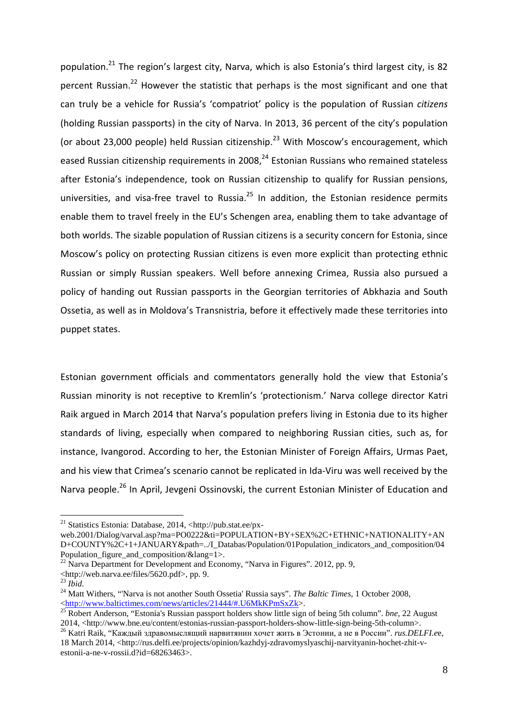population.<sup>21</sup> The region's largest city, Narva, which is also Estonia's third largest city, is 82 percent Russian.<sup>22</sup> However the statistic that perhaps is the most significant and one that can truly be a vehicle for Russia's 'compatriot' policy is the population of Russian citizens (holding Russian passports) in the city of Narva. In 2013, 36 percent of the city's population (or about 23,000 people) held Russian citizenship.<sup>23</sup> With Moscow's encouragement, which eased Russian citizenship requirements in 2008,<sup>24</sup> Estonian Russians who remained stateless after Estonia's independence, took on Russian citizenship to qualify for Russian pensions, universities, and visa-free travel to Russia.<sup>25</sup> In addition, the Estonian residence permits enable them to travel freely in the EU's Schengen area, enabling them to take advantage of both worlds. The sizable population of Russian citizens is a security concern for Estonia, since Moscow's policy on protecting Russian citizens is even more explicit than protecting ethnic Russian or simply Russian speakers. Well before annexing Crimea, Russia also pursued a policy of handing out Russian passports in the Georgian territories of Abkhazia and South Ossetia, as well as in Moldova's Transnistria, before it effectively made these territories into puppet states.

Estonian government officials and commentators generally hold the view that Estonia's Russian minority is not receptive to Kremlin's 'protectionism.' Narva college director Katri Raik argued in March 2014 that Narva's population prefers living in Estonia due to its higher standards of living, especially when compared to neighboring Russian cities, such as, for instance, Ivangorod. According to her, the Estonian Minister of Foreign Affairs, Urmas Paet, and his view that Crimea's scenario cannot be replicated in Ida-Viru was well received by the Narva people.<sup>26</sup> In April, Jevgeni Ossinovski, the current Estonian Minister of Education and

<sup>&</sup>lt;sup>21</sup> Statistics Estonia: Database, 2014, <http://pub.stat.ee/px-

web.2001/Dialog/varval.asp?ma=PO0222&ti=POPULATION+BY+SEX%2C+ETHNIC+NATIONALITY+AN D+COUNTY%2C+1+JANUARY&path=../I\_Databas/Population/01Population\_indicators\_and\_composition/04 Population\_figure\_and\_composition/&lang=1>.

<sup>&</sup>lt;sup>22</sup> Narva Department for Development and Economy, "Narva in Figures". 2012, pp. 9, <http://web.narva.ee/files/5620.pdf>, pp. 9.

<sup>23</sup> *Ibid.*

<sup>24</sup> Matt Withers, "'Narva is not another South Ossetia' Russia says". *The Baltic Times*, 1 October 2008, <http://www.baltictimes.com/news/articles/21444/#.U6MkKPmSxZk>.

<sup>&</sup>lt;sup>25</sup> Robert Anderson, "Estonia's Russian passport holders show little sign of being 5th column". *bne*, 22 August 2014, <http://www.bne.eu/content/estonias-russian-passport-holders-show-little-sign-being-5th-column>.

<sup>26</sup> Katri Raik, "Каждый здравомыслящий нарвитянин хочет жить в Эстонии, а не в России". *rus.DELFI.e*e, 18 March 2014, <http://rus.delfi.ee/projects/opinion/kazhdyj-zdravomyslyaschij-narvityanin-hochet-zhit-vestonii-a-ne-v-rossii.d?id=68263463>.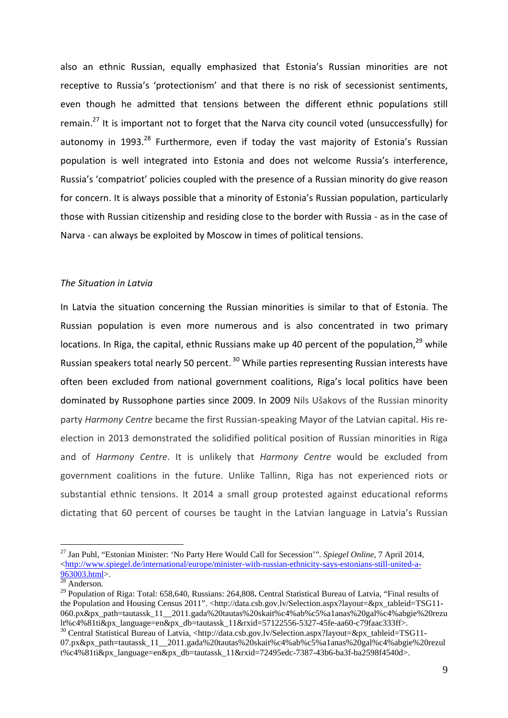also an ethnic Russian, equally emphasized that Estonia's Russian minorities are not receptive to Russia's 'protectionism' and that there is no risk of secessionist sentiments, even though he admitted that tensions between the different ethnic populations still remain.<sup>27</sup> It is important not to forget that the Narva city council voted (unsuccessfully) for autonomy in 1993.<sup>28</sup> Furthermore, even if today the vast majority of Estonia's Russian population is well integrated into Estonia and does not welcome Russia's interference, Russia's 'compatriot' policies coupled with the presence of a Russian minority do give reason for concern. It is always possible that a minority of Estonia's Russian population, particularly those with Russian citizenship and residing close to the border with Russia - as in the case of Narva - can always be exploited by Moscow in times of political tensions.

#### The Situation in Latvia

In Latvia the situation concerning the Russian minorities is similar to that of Estonia. The Russian population is even more numerous and is also concentrated in two primary locations. In Riga, the capital, ethnic Russians make up 40 percent of the population.<sup>29</sup> while Russian speakers total nearly 50 percent.<sup>30</sup> While parties representing Russian interests have often been excluded from national government coalitions, Riga's local politics have been dominated by Russophone parties since 2009. In 2009 Nils Ušakovs of the Russian minority party Harmony Centre became the first Russian-speaking Mayor of the Latvian capital. His reelection in 2013 demonstrated the solidified political position of Russian minorities in Riga and of Harmony Centre. It is unlikely that Harmony Centre would be excluded from government coalitions in the future. Unlike Tallinn, Riga has not experienced riots or substantial ethnic tensions. It 2014 a small group protested against educational reforms dictating that 60 percent of courses be taught in the Latvian language in Latvia's Russian

<sup>27</sup> Jan Puhl, "Estonian Minister: 'No Party Here Would Call for Secession'". *Spiegel Online*, 7 April 2014, <http://www.spiegel.de/international/europe/minister-with-russian-ethnicity-says-estonians-still-united-a- $963003.html$ .

 $28$  Anderson.

<sup>29</sup> Population of Riga: Total: 658,640, Russians: 264,808**.** Central Statistical Bureau of Latvia, "Final results of the Population and Housing Census 2011". <http://data.csb.gov.lv/Selection.aspx?layout=&px\_tableid=TSG11-060.px&px\_path=tautassk\_11\_\_2011.gada%20tautas%20skait%c4%ab%c5%a1anas%20gal%c4%abgie%20rezu lt%c4%81ti&px\_language=en&px\_db=tautassk\_11&rxid=57122556-5327-45fe-aa60-c79faac333ff>.

<sup>30</sup> Central Statistical Bureau of Latvia, <http://data.csb.gov.lv/Selection.aspx?layout=&px\_tableid=TSG11- 07.px&px\_path=tautassk\_11\_\_2011.gada%20tautas%20skait%c4%ab%c5%a1anas%20gal%c4%abgie%20rezul t%c4%81ti&px\_language=en&px\_db=tautassk\_11&rxid=72495edc-7387-43b6-ba3f-ba2598f4540d>.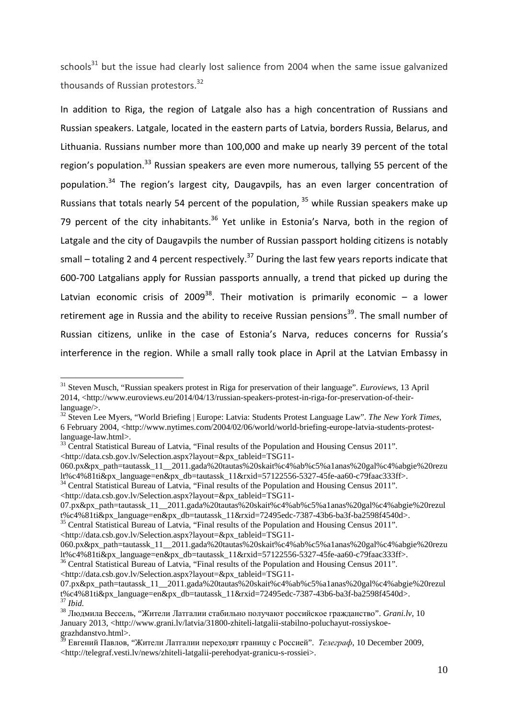schools $^{31}$  but the issue had clearly lost salience from 2004 when the same issue galvanized thousands of Russian protestors.<sup>32</sup>

In addition to Riga, the region of Latgale also has a high concentration of Russians and Russian speakers. Latgale, located in the eastern parts of Latvia, borders Russia, Belarus, and Lithuania. Russians number more than 100,000 and make up nearly 39 percent of the total region's population.<sup>33</sup> Russian speakers are even more numerous, tallying 55 percent of the population.<sup>34</sup> The region's largest city, Daugavpils, has an even larger concentration of Russians that totals nearly 54 percent of the population,  $35$  while Russian speakers make up 79 percent of the city inhabitants.<sup>36</sup> Yet unlike in Estonia's Narva, both in the region of Latgale and the city of Daugavpils the number of Russian passport holding citizens is notably small – totaling 2 and 4 percent respectively.<sup>37</sup> During the last few years reports indicate that 600-700 Latgalians apply for Russian passports annually, a trend that picked up during the Latvian economic crisis of 2009<sup>38</sup>. Their motivation is primarily economic – a lower retirement age in Russia and the ability to receive Russian pensions<sup>39</sup>. The small number of Russian citizens, unlike in the case of Estonia's Narva, reduces concerns for Russia's interference in the region. While a small rally took place in April at the Latvian Embassy in

- <sup>32</sup> Steven Lee Myers, "World Briefing | Europe: Latvia: Students Protest Language Law". *The New York Times*, 6 February 2004, <http://www.nytimes.com/2004/02/06/world/world-briefing-europe-latvia-students-protestlanguage-law.html>.
- <sup>33</sup> Central Statistical Bureau of Latvia, "Final results of the Population and Housing Census 2011". <http://data.csb.gov.lv/Selection.aspx?layout=&px\_tableid=TSG11-
- 060.px&px\_path=tautassk\_11\_\_2011.gada%20tautas%20skait%c4%ab%c5%a1anas%20gal%c4%abgie%20rezu lt%c4%81ti&px\_language=en&px\_db=tautassk\_11&rxid=57122556-5327-45fe-aa60-c79faac333ff>.
- <sup>34</sup> Central Statistical Bureau of Latvia, "Final results of the Population and Housing Census 2011".

<http://data.csb.gov.lv/Selection.aspx?layout=&px\_tableid=TSG11-

 $\overline{a}$ 

07.px&px\_path=tautassk\_11\_\_2011.gada%20tautas%20skait%c4%ab%c5%a1anas%20gal%c4%abgie%20rezul t%c4%81ti&px\_language=en&px\_db=tautassk\_11&rxid=72495edc-7387-43b6-ba3f-ba2598f4540d>.

<sup>35</sup> Central Statistical Bureau of Latvia, "Final results of the Population and Housing Census 2011". <http://data.csb.gov.lv/Selection.aspx?layout=&px\_tableid=TSG11-

<sup>36</sup> Central Statistical Bureau of Latvia, "Final results of the Population and Housing Census 2011". <http://data.csb.gov.lv/Selection.aspx?layout=&px\_tableid=TSG11-

<sup>31</sup> Steven Musch, "Russian speakers protest in Riga for preservation of their language". *Euroviews*, 13 April 2014, <http://www.euroviews.eu/2014/04/13/russian-speakers-protest-in-riga-for-preservation-of-theirlanguage/>.

<sup>060.</sup>px&px\_path=tautassk\_11\_\_2011.gada%20tautas%20skait%c4%ab%c5%a1anas%20gal%c4%abgie%20rezu lt%c4%81ti&px\_language=en&px\_db=tautassk\_11&rxid=57122556-5327-45fe-aa60-c79faac333ff>.

<sup>07.</sup>px&px\_path=tautassk\_11\_\_2011.gada%20tautas%20skait%c4%ab%c5%a1anas%20gal%c4%abgie%20rezul t%c4%81ti&px\_language=en&px\_db=tautassk\_11&rxid=72495edc-7387-43b6-ba3f-ba2598f4540d>. <sup>37</sup> *Ibid.*

<sup>38</sup> Людмила Вессель, "Жители Латгалии стабильно получают российское гражданство". *Grani.lv*, 10 January 2013, <http://www.grani.lv/latvia/31800-zhiteli-latgalii-stabilno-poluchayut-rossiyskoegrazhdanstvo.html>.

 $^{\rm 39}$  Евгений Павлов, "Жители Латгалии переходят границу с Россией". *Телеграф*, 10 December 2009, <http://telegraf.vesti.lv/news/zhiteli-latgalii-perehodyat-granicu-s-rossiei>.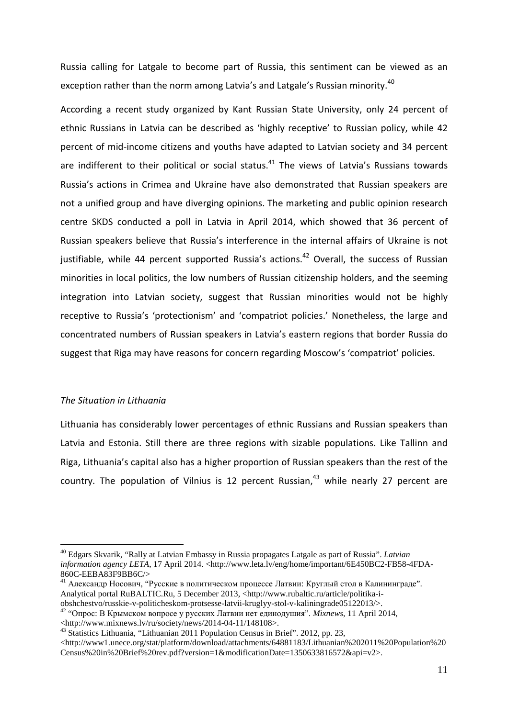Russia calling for Latgale to become part of Russia, this sentiment can be viewed as an exception rather than the norm among Latvia's and Latgale's Russian minority.<sup>40</sup>

According a recent study organized by Kant Russian State University, only 24 percent of ethnic Russians in Latvia can be described as 'highly receptive' to Russian policy, while 42 percent of mid-income citizens and youths have adapted to Latvian society and 34 percent are indifferent to their political or social status.<sup>41</sup> The views of Latvia's Russians towards Russia's actions in Crimea and Ukraine have also demonstrated that Russian speakers are not a unified group and have diverging opinions. The marketing and public opinion research centre SKDS conducted a poll in Latvia in April 2014, which showed that 36 percent of Russian speakers believe that Russia's interference in the internal affairs of Ukraine is not justifiable, while 44 percent supported Russia's actions.<sup>42</sup> Overall, the success of Russian minorities in local politics, the low numbers of Russian citizenship holders, and the seeming integration into Latvian society, suggest that Russian minorities would not be highly receptive to Russia's 'protectionism' and 'compatriot policies.' Nonetheless, the large and concentrated numbers of Russian speakers in Latvia's eastern regions that border Russia do suggest that Riga may have reasons for concern regarding Moscow's 'compatriot' policies.

#### The Situation in Lithuania

 $\overline{a}$ 

Lithuania has considerably lower percentages of ethnic Russians and Russian speakers than Latvia and Estonia. Still there are three regions with sizable populations. Like Tallinn and Riga, Lithuania's capital also has a higher proportion of Russian speakers than the rest of the country. The population of Vilnius is 12 percent Russian, $43$  while nearly 27 percent are

<sup>40</sup> Edgars Skvarik, "Rally at Latvian Embassy in Russia propagates Latgale as part of Russia". *Latvian information agency LETA*, 17 April 2014. <http://www.leta.lv/eng/home/important/6E450BC2-FB58-4FDA-860C-EEBA83F9BB6C/>

<sup>41</sup> Александр Носович, "Русские в политическом процессе Латвии: Круглый стол в Калининграде". Analytical portal RuBALTIC.Ru, 5 December 2013, <http://www.rubaltic.ru/article/politika-i-

obshchestvo/russkie-v-politicheskom-protsesse-latvii-kruglyy-stol-v-kaliningrade05122013/>.

<sup>42</sup> "Опрос: В Крымском вопросе у русских Латвии нет единодушия". *Mixnews*, 11 April 2014, <http://www.mixnews.lv/ru/society/news/2014-04-11/148108>.

<sup>&</sup>lt;sup>43</sup> Statistics Lithuania, "Lithuanian<sup>2011</sup> Population Census in Brief". 2012, pp. 23,

 $\langle$ http://www1.unece.org/stat/platform/download/attachments/64881183/Lithuanian%202011%20Population%20 Census%20in%20Brief%20rev.pdf?version=1&modificationDate=1350633816572&api=v2>.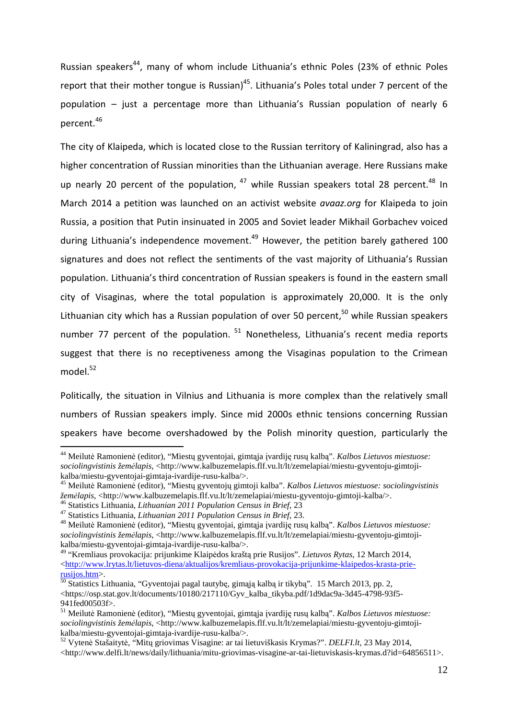Russian speakers<sup>44</sup>, many of whom include Lithuania's ethnic Poles (23% of ethnic Poles report that their mother tongue is Russian)<sup>45</sup>. Lithuania's Poles total under 7 percent of the population – just a percentage more than Lithuania's Russian population of nearly 6 percent.<sup>46</sup>

The city of Klaipeda, which is located close to the Russian territory of Kaliningrad, also has a higher concentration of Russian minorities than the Lithuanian average. Here Russians make up nearly 20 percent of the population,  $47$  while Russian speakers total 28 percent. $48$  In March 2014 a petition was launched on an activist website *avaaz.org* for Klaipeda to join Russia, a position that Putin insinuated in 2005 and Soviet leader Mikhail Gorbachev voiced during Lithuania's independence movement.<sup>49</sup> However, the petition barely gathered 100 signatures and does not reflect the sentiments of the vast majority of Lithuania's Russian population. Lithuania's third concentration of Russian speakers is found in the eastern small city of Visaginas, where the total population is approximately 20,000. It is the only Lithuanian city which has a Russian population of over 50 percent.<sup>50</sup> while Russian speakers number 77 percent of the population.  $51$  Nonetheless, Lithuania's recent media reports suggest that there is no receptiveness among the Visaginas population to the Crimean model.<sup>52</sup>

Politically, the situation in Vilnius and Lithuania is more complex than the relatively small numbers of Russian speakers imply. Since mid 2000s ethnic tensions concerning Russian speakers have become overshadowed by the Polish minority question, particularly the

<sup>44</sup> Meilut÷ Ramonien÷ (editor), "Miestų gyventojai, gimtąja įvardiję rusų kalbą". *Kalbos Lietuvos miestuose: sociolingvistinis žem*÷*lapis*, <http://www.kalbuzemelapis.flf.vu.lt/lt/zemelapiai/miestu-gyventoju-gimtojikalba/miestu-gyventojai-gimtaja-ivardije-rusu-kalba/>.

<sup>45</sup> Meilutė Ramonienė (editor), "Miestų gyventojų gimtoji kalba". *Kalbos Lietuvos miestuose: sociolingvistinis žem*÷*lapis*, <http://www.kalbuzemelapis.flf.vu.lt/lt/zemelapiai/miestu-gyventoju-gimtoji-kalba/>.

<sup>46</sup> Statistics Lithuania, *Lithuanian 2011 Population Census in Brief*, 23

<sup>47</sup> Statistics Lithuania, *Lithuanian 2011 Population Census in Brief*, 23.

<sup>&</sup>lt;sup>48</sup> Meilutė Ramonienė (editor), "Miestų gyventojai, gimtąja įvardiję rusų kalbą". *Kalbos Lietuvos miestuose*: *sociolingvistinis žem*÷*lapis*, <http://www.kalbuzemelapis.flf.vu.lt/lt/zemelapiai/miestu-gyventoju-gimtojikalba/miestu-gyventojai-gimtaja-ivardije-rusu-kalba/>.

<sup>49</sup> "Kremliaus provokacija: prijunkime Klaip÷dos kraštą prie Rusijos". *Lietuvos Rytas*, 12 March 2014, <http://www.lrytas.lt/lietuvos-diena/aktualijos/kremliaus-provokacija-prijunkime-klaipedos-krasta-prierusijos.htm>.

<sup>50</sup> Statistics Lithuania, "Gyventojai pagal tautybę, gimąją kalbą ir tikybą". 15 March 2013, pp. 2, <https://osp.stat.gov.lt/documents/10180/217110/Gyv\_kalba\_tikyba.pdf/1d9dac9a-3d45-4798-93f5-941fed00503f>.

<sup>&</sup>lt;sup>51</sup> Meilutė Ramonienė (editor), "Miestų gyventojai, gimtąja įvardiję rusų kalbą". *Kalbos Lietuvos miestuose*: *sociolingvistinis žem*÷*lapis*, <http://www.kalbuzemelapis.flf.vu.lt/lt/zemelapiai/miestu-gyventoju-gimtojikalba/miestu-gyventojai-gimtaja-ivardije-rusu-kalba/>.

<sup>52</sup> Vyten÷ Stašaityt÷, "Mitų griovimas Visagine: ar tai lietuviškasis Krymas?". *DELFI.lt*, 23 May 2014, <http://www.delfi.lt/news/daily/lithuania/mitu-griovimas-visagine-ar-tai-lietuviskasis-krymas.d?id=64856511>.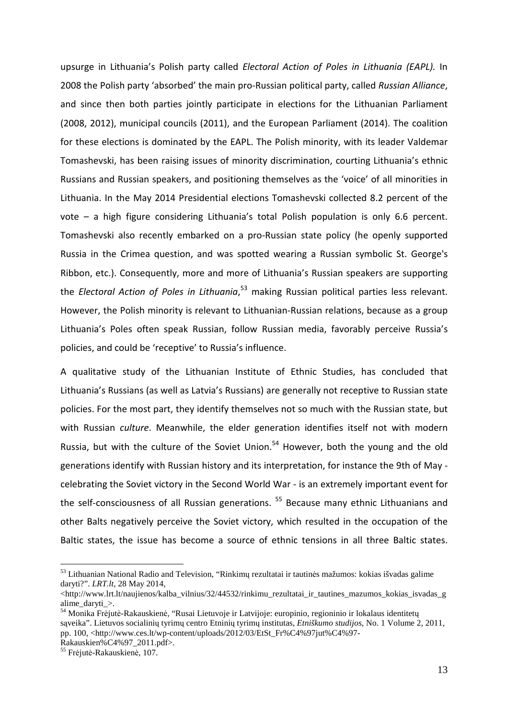upsurge in Lithuania's Polish party called Electoral Action of Poles in Lithuania (EAPL). In 2008 the Polish party 'absorbed' the main pro-Russian political party, called Russian Alliance, and since then both parties jointly participate in elections for the Lithuanian Parliament (2008, 2012), municipal councils (2011), and the European Parliament (2014). The coalition for these elections is dominated by the EAPL. The Polish minority, with its leader Valdemar Tomashevski, has been raising issues of minority discrimination, courting Lithuania's ethnic Russians and Russian speakers, and positioning themselves as the 'voice' of all minorities in Lithuania. In the May 2014 Presidential elections Tomashevski collected 8.2 percent of the vote – a high figure considering Lithuania's total Polish population is only 6.6 percent. Tomashevski also recently embarked on a pro-Russian state policy (he openly supported Russia in the Crimea question, and was spotted wearing a Russian symbolic St. George's Ribbon, etc.). Consequently, more and more of Lithuania's Russian speakers are supporting the *Electoral Action of Poles in Lithuania*,<sup>53</sup> making Russian political parties less relevant. However, the Polish minority is relevant to Lithuanian-Russian relations, because as a group Lithuania's Poles often speak Russian, follow Russian media, favorably perceive Russia's policies, and could be 'receptive' to Russia's influence.

A qualitative study of the Lithuanian Institute of Ethnic Studies, has concluded that Lithuania's Russians (as well as Latvia's Russians) are generally not receptive to Russian state policies. For the most part, they identify themselves not so much with the Russian state, but with Russian culture. Meanwhile, the elder generation identifies itself not with modern Russia, but with the culture of the Soviet Union.<sup>54</sup> However, both the young and the old generations identify with Russian history and its interpretation, for instance the 9th of May celebrating the Soviet victory in the Second World War - is an extremely important event for the self-consciousness of all Russian generations.<sup>55</sup> Because many ethnic Lithuanians and other Balts negatively perceive the Soviet victory, which resulted in the occupation of the Baltic states, the issue has become a source of ethnic tensions in all three Baltic states.

<sup>&</sup>lt;sup>53</sup> Lithuanian National Radio and Television, "Rinkimų rezultatai ir tautinės mažumos: kokias išvadas galime daryti?". *LRT.lt*, 28 May 2014,

 $\text{thtn://www.lrt.lt/naujienos/kalba-vilnius/32/44532/rinkimu}\$ rezultatai ir tautines mazumos kokias isvadas g alime\_daryti\_>.

<sup>54</sup> Monika Frėjutė-Rakauskienė, "Rusai Lietuvoje ir Latvijoje: europinio, regioninio ir lokalaus identitetų sąveika". Lietuvos socialinių tyrimų centro Etninių tyrimų institutas, *Etniškumo studijos*, No. 1 Volume 2, 2011, pp. 100, <http://www.ces.lt/wp-content/uploads/2012/03/EtSt\_Fr%C4%97jut%C4%97-

Rakauskien%C4%97\_2011.pdf>.

<sup>&</sup>lt;sup>55</sup> Frėjutė-Rakauskienė, 107.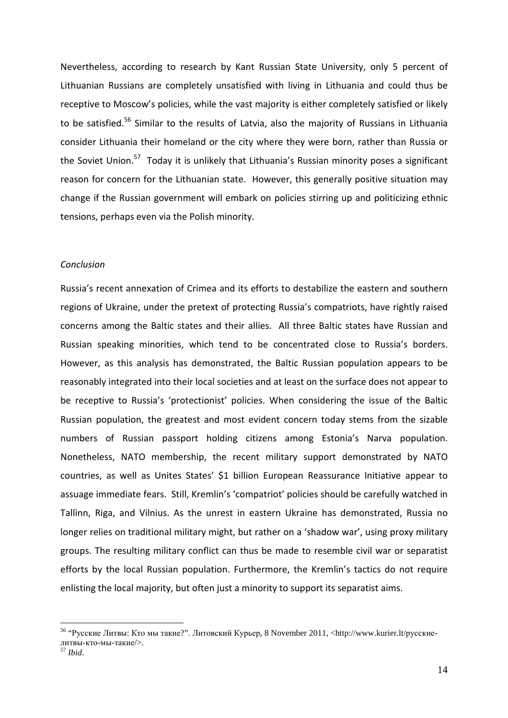Nevertheless, according to research by Kant Russian State University, only 5 percent of Lithuanian Russians are completely unsatisfied with living in Lithuania and could thus be receptive to Moscow's policies, while the vast majority is either completely satisfied or likely to be satisfied.<sup>56</sup> Similar to the results of Latvia, also the majority of Russians in Lithuania consider Lithuania their homeland or the city where they were born, rather than Russia or the Soviet Union.<sup>57</sup> Today it is unlikely that Lithuania's Russian minority poses a significant reason for concern for the Lithuanian state. However, this generally positive situation may change if the Russian government will embark on policies stirring up and politicizing ethnic tensions, perhaps even via the Polish minority.

#### Conclusion

Russia's recent annexation of Crimea and its efforts to destabilize the eastern and southern regions of Ukraine, under the pretext of protecting Russia's compatriots, have rightly raised concerns among the Baltic states and their allies. All three Baltic states have Russian and Russian speaking minorities, which tend to be concentrated close to Russia's borders. However, as this analysis has demonstrated, the Baltic Russian population appears to be reasonably integrated into their local societies and at least on the surface does not appear to be receptive to Russia's 'protectionist' policies. When considering the issue of the Baltic Russian population, the greatest and most evident concern today stems from the sizable numbers of Russian passport holding citizens among Estonia's Narva population. Nonetheless, NATO membership, the recent military support demonstrated by NATO countries, as well as Unites States' \$1 billion European Reassurance Initiative appear to assuage immediate fears. Still, Kremlin's 'compatriot' policies should be carefully watched in Tallinn, Riga, and Vilnius. As the unrest in eastern Ukraine has demonstrated, Russia no longer relies on traditional military might, but rather on a 'shadow war', using proxy military groups. The resulting military conflict can thus be made to resemble civil war or separatist efforts by the local Russian population. Furthermore, the Kremlin's tactics do not require enlisting the local majority, but often just a minority to support its separatist aims.

<sup>&</sup>lt;sup>56</sup> "Русские Литвы: Кто мы такие?". Литовский Курьер, 8 November 2011, <http://www.kurier.lt/русскиелитвы-кто-мы-такие/>.

<sup>57</sup> *Ibid*.